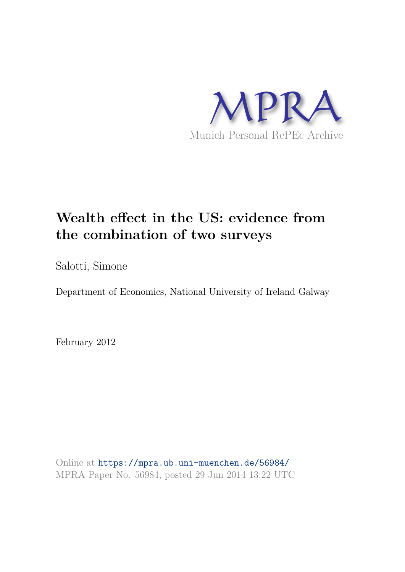

# **Wealth effect in the US: evidence from the combination of two surveys**

Salotti, Simone

Department of Economics, National University of Ireland Galway

February 2012

Online at https://mpra.ub.uni-muenchen.de/56984/ MPRA Paper No. 56984, posted 29 Jun 2014 13:22 UTC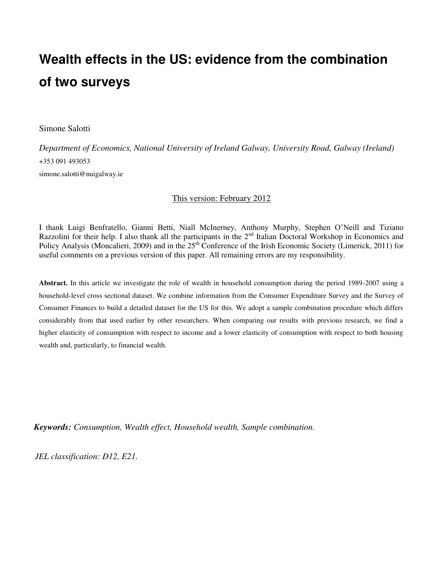# **Wealth effects in the US: evidence from the combination of two surveys**

Simone Salotti

*Department of Economics, National University of Ireland Galway, University Road, Galway (Ireland)*  +353 091 493053 simone.salotti@nuigalway.ie

#### This version: February 2012

I thank Luigi Benfratello, Gianni Betti, Niall McInerney, Anthony Murphy, Stephen O'Neill and Tiziano Razzolini for their help. I also thank all the participants in the 2<sup>nd</sup> Italian Doctoral Workshop in Economics and Policy Analysis (Moncalieri, 2009) and in the 25<sup>th</sup> Conference of the Irish Economic Society (Limerick, 2011) for useful comments on a previous version of this paper. All remaining errors are my responsibility.

**Abstract.** In this article we investigate the role of wealth in household consumption during the period 1989-2007 using a household-level cross sectional dataset. We combine information from the Consumer Expenditure Survey and the Survey of Consumer Finances to build a detailed dataset for the US for this. We adopt a sample combination procedure which differs considerably from that used earlier by other researchers. When comparing our results with previous research, we find a higher elasticity of consumption with respect to income and a lower elasticity of consumption with respect to both housing wealth and, particularly, to financial wealth.

*Keywords: Consumption, Wealth effect, Household wealth, Sample combination.* 

*JEL classification: D12, E21.*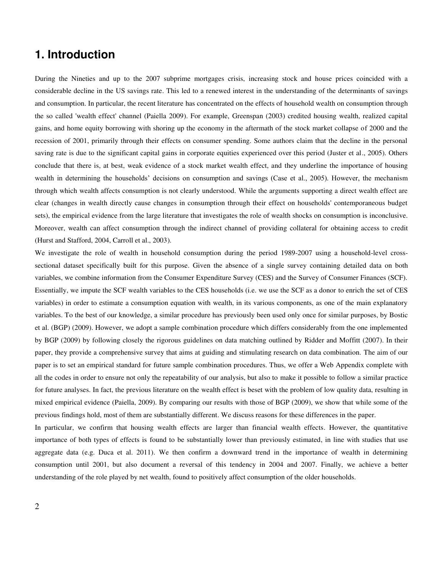## **1. Introduction**

During the Nineties and up to the 2007 subprime mortgages crisis, increasing stock and house prices coincided with a considerable decline in the US savings rate. This led to a renewed interest in the understanding of the determinants of savings and consumption. In particular, the recent literature has concentrated on the effects of household wealth on consumption through the so called 'wealth effect' channel (Paiella 2009). For example, Greenspan (2003) credited housing wealth, realized capital gains, and home equity borrowing with shoring up the economy in the aftermath of the stock market collapse of 2000 and the recession of 2001, primarily through their effects on consumer spending. Some authors claim that the decline in the personal saving rate is due to the significant capital gains in corporate equities experienced over this period (Juster et al., 2005). Others conclude that there is, at best, weak evidence of a stock market wealth effect, and they underline the importance of housing wealth in determining the households' decisions on consumption and savings (Case et al., 2005). However, the mechanism through which wealth affects consumption is not clearly understood. While the arguments supporting a direct wealth effect are clear (changes in wealth directly cause changes in consumption through their effect on households' contemporaneous budget sets), the empirical evidence from the large literature that investigates the role of wealth shocks on consumption is inconclusive. Moreover, wealth can affect consumption through the indirect channel of providing collateral for obtaining access to credit (Hurst and Stafford, 2004, Carroll et al., 2003).

We investigate the role of wealth in household consumption during the period 1989-2007 using a household-level crosssectional dataset specifically built for this purpose. Given the absence of a single survey containing detailed data on both variables, we combine information from the Consumer Expenditure Survey (CES) and the Survey of Consumer Finances (SCF). Essentially, we impute the SCF wealth variables to the CES households (i.e. we use the SCF as a donor to enrich the set of CES variables) in order to estimate a consumption equation with wealth, in its various components, as one of the main explanatory variables. To the best of our knowledge, a similar procedure has previously been used only once for similar purposes, by Bostic et al. (BGP) (2009). However, we adopt a sample combination procedure which differs considerably from the one implemented by BGP (2009) by following closely the rigorous guidelines on data matching outlined by Ridder and Moffitt (2007). In their paper, they provide a comprehensive survey that aims at guiding and stimulating research on data combination. The aim of our paper is to set an empirical standard for future sample combination procedures. Thus, we offer a Web Appendix complete with all the codes in order to ensure not only the repeatability of our analysis, but also to make it possible to follow a similar practice for future analyses. In fact, the previous literature on the wealth effect is beset with the problem of low quality data, resulting in mixed empirical evidence (Paiella, 2009). By comparing our results with those of BGP (2009), we show that while some of the previous findings hold, most of them are substantially different. We discuss reasons for these differences in the paper.

In particular, we confirm that housing wealth effects are larger than financial wealth effects. However, the quantitative importance of both types of effects is found to be substantially lower than previously estimated, in line with studies that use aggregate data (e.g. Duca et al. 2011). We then confirm a downward trend in the importance of wealth in determining consumption until 2001, but also document a reversal of this tendency in 2004 and 2007. Finally, we achieve a better understanding of the role played by net wealth, found to positively affect consumption of the older households.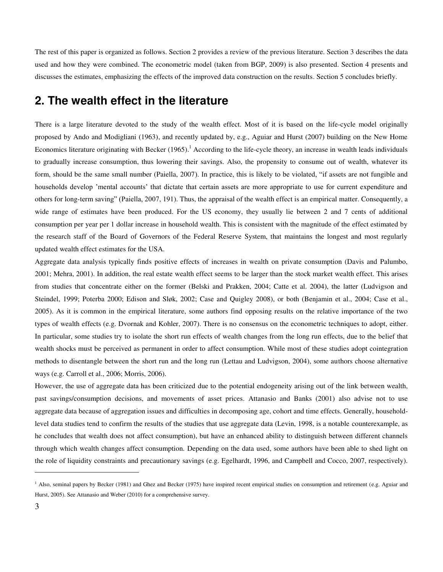The rest of this paper is organized as follows. Section 2 provides a review of the previous literature. Section 3 describes the data used and how they were combined. The econometric model (taken from BGP, 2009) is also presented. Section 4 presents and discusses the estimates, emphasizing the effects of the improved data construction on the results. Section 5 concludes briefly.

## **2. The wealth effect in the literature**

There is a large literature devoted to the study of the wealth effect. Most of it is based on the life-cycle model originally proposed by Ando and Modigliani (1963), and recently updated by, e.g., Aguiar and Hurst (2007) building on the New Home Economics literature originating with Becker  $(1965)$ .<sup>1</sup> According to the life-cycle theory, an increase in wealth leads individuals to gradually increase consumption, thus lowering their savings. Also, the propensity to consume out of wealth, whatever its form, should be the same small number (Paiella, 2007). In practice, this is likely to be violated, "if assets are not fungible and households develop 'mental accounts' that dictate that certain assets are more appropriate to use for current expenditure and others for long-term saving" (Paiella, 2007, 191). Thus, the appraisal of the wealth effect is an empirical matter. Consequently, a wide range of estimates have been produced. For the US economy, they usually lie between 2 and 7 cents of additional consumption per year per 1 dollar increase in household wealth. This is consistent with the magnitude of the effect estimated by the research staff of the Board of Governors of the Federal Reserve System, that maintains the longest and most regularly updated wealth effect estimates for the USA.

Aggregate data analysis typically finds positive effects of increases in wealth on private consumption (Davis and Palumbo, 2001; Mehra, 2001). In addition, the real estate wealth effect seems to be larger than the stock market wealth effect. This arises from studies that concentrate either on the former (Belski and Prakken, 2004; Catte et al. 2004), the latter (Ludvigson and Steindel, 1999; Poterba 2000; Edison and Sløk, 2002; Case and Quigley 2008), or both (Benjamin et al., 2004; Case et al., 2005). As it is common in the empirical literature, some authors find opposing results on the relative importance of the two types of wealth effects (e.g. Dvornak and Kohler, 2007). There is no consensus on the econometric techniques to adopt, either. In particular, some studies try to isolate the short run effects of wealth changes from the long run effects, due to the belief that wealth shocks must be perceived as permanent in order to affect consumption. While most of these studies adopt cointegration methods to disentangle between the short run and the long run (Lettau and Ludvigson, 2004), some authors choose alternative ways (e.g. Carroll et al., 2006; Morris, 2006).

However, the use of aggregate data has been criticized due to the potential endogeneity arising out of the link between wealth, past savings/consumption decisions, and movements of asset prices. Attanasio and Banks (2001) also advise not to use aggregate data because of aggregation issues and difficulties in decomposing age, cohort and time effects. Generally, householdlevel data studies tend to confirm the results of the studies that use aggregate data (Levin, 1998, is a notable counterexample, as he concludes that wealth does not affect consumption), but have an enhanced ability to distinguish between different channels through which wealth changes affect consumption. Depending on the data used, some authors have been able to shed light on the role of liquidity constraints and precautionary savings (e.g. Egelhardt, 1996, and Campbell and Cocco, 2007, respectively).

<sup>&</sup>lt;sup>1</sup> Also, seminal papers by Becker (1981) and Ghez and Becker (1975) have inspired recent empirical studies on consumption and retirement (e.g. Aguiar and Hurst, 2005). See Attanasio and Weber (2010) for a comprehensive survey.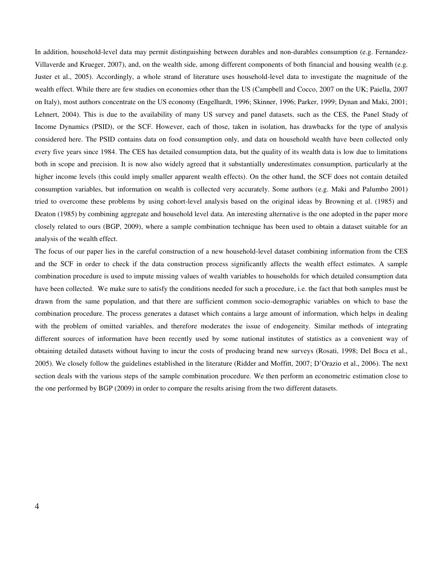In addition, household-level data may permit distinguishing between durables and non-durables consumption (e.g. Fernandez-Villaverde and Krueger, 2007), and, on the wealth side, among different components of both financial and housing wealth (e.g. Juster et al., 2005). Accordingly, a whole strand of literature uses household-level data to investigate the magnitude of the wealth effect. While there are few studies on economies other than the US (Campbell and Cocco, 2007 on the UK; Paiella, 2007 on Italy), most authors concentrate on the US economy (Engelhardt, 1996; Skinner, 1996; Parker, 1999; Dynan and Maki, 2001; Lehnert, 2004). This is due to the availability of many US survey and panel datasets, such as the CES, the Panel Study of Income Dynamics (PSID), or the SCF. However, each of those, taken in isolation, has drawbacks for the type of analysis considered here. The PSID contains data on food consumption only, and data on household wealth have been collected only every five years since 1984. The CES has detailed consumption data, but the quality of its wealth data is low due to limitations both in scope and precision. It is now also widely agreed that it substantially underestimates consumption, particularly at the higher income levels (this could imply smaller apparent wealth effects). On the other hand, the SCF does not contain detailed consumption variables, but information on wealth is collected very accurately. Some authors (e.g. Maki and Palumbo 2001) tried to overcome these problems by using cohort-level analysis based on the original ideas by Browning et al. (1985) and Deaton (1985) by combining aggregate and household level data. An interesting alternative is the one adopted in the paper more closely related to ours (BGP, 2009), where a sample combination technique has been used to obtain a dataset suitable for an analysis of the wealth effect.

The focus of our paper lies in the careful construction of a new household-level dataset combining information from the CES and the SCF in order to check if the data construction process significantly affects the wealth effect estimates. A sample combination procedure is used to impute missing values of wealth variables to households for which detailed consumption data have been collected. We make sure to satisfy the conditions needed for such a procedure, i.e. the fact that both samples must be drawn from the same population, and that there are sufficient common socio-demographic variables on which to base the combination procedure. The process generates a dataset which contains a large amount of information, which helps in dealing with the problem of omitted variables, and therefore moderates the issue of endogeneity. Similar methods of integrating different sources of information have been recently used by some national institutes of statistics as a convenient way of obtaining detailed datasets without having to incur the costs of producing brand new surveys (Rosati, 1998; Del Boca et al., 2005). We closely follow the guidelines established in the literature (Ridder and Moffitt, 2007; D'Orazio et al., 2006). The next section deals with the various steps of the sample combination procedure. We then perform an econometric estimation close to the one performed by BGP (2009) in order to compare the results arising from the two different datasets.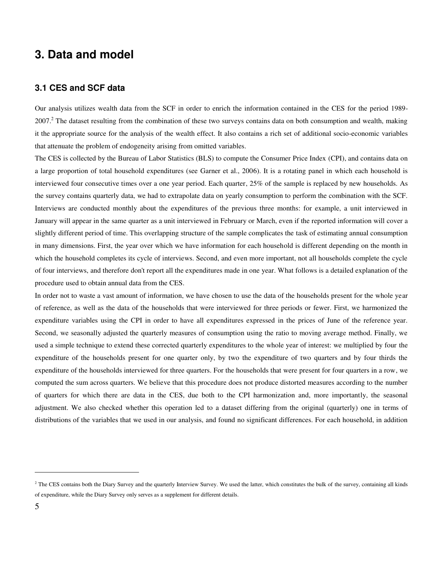## **3. Data and model**

#### **3.1 CES and SCF data**

Our analysis utilizes wealth data from the SCF in order to enrich the information contained in the CES for the period 1989-  $2007<sup>2</sup>$  The dataset resulting from the combination of these two surveys contains data on both consumption and wealth, making it the appropriate source for the analysis of the wealth effect. It also contains a rich set of additional socio-economic variables that attenuate the problem of endogeneity arising from omitted variables.

The CES is collected by the Bureau of Labor Statistics (BLS) to compute the Consumer Price Index (CPI), and contains data on a large proportion of total household expenditures (see Garner et al., 2006). It is a rotating panel in which each household is interviewed four consecutive times over a one year period. Each quarter, 25% of the sample is replaced by new households. As the survey contains quarterly data, we had to extrapolate data on yearly consumption to perform the combination with the SCF. Interviews are conducted monthly about the expenditures of the previous three months: for example, a unit interviewed in January will appear in the same quarter as a unit interviewed in February or March, even if the reported information will cover a slightly different period of time. This overlapping structure of the sample complicates the task of estimating annual consumption in many dimensions. First, the year over which we have information for each household is different depending on the month in which the household completes its cycle of interviews. Second, and even more important, not all households complete the cycle of four interviews, and therefore don't report all the expenditures made in one year. What follows is a detailed explanation of the procedure used to obtain annual data from the CES.

In order not to waste a vast amount of information, we have chosen to use the data of the households present for the whole year of reference, as well as the data of the households that were interviewed for three periods or fewer. First, we harmonized the expenditure variables using the CPI in order to have all expenditures expressed in the prices of June of the reference year. Second, we seasonally adjusted the quarterly measures of consumption using the ratio to moving average method. Finally, we used a simple technique to extend these corrected quarterly expenditures to the whole year of interest: we multiplied by four the expenditure of the households present for one quarter only, by two the expenditure of two quarters and by four thirds the expenditure of the households interviewed for three quarters. For the households that were present for four quarters in a row, we computed the sum across quarters. We believe that this procedure does not produce distorted measures according to the number of quarters for which there are data in the CES, due both to the CPI harmonization and, more importantly, the seasonal adjustment. We also checked whether this operation led to a dataset differing from the original (quarterly) one in terms of distributions of the variables that we used in our analysis, and found no significant differences. For each household, in addition

<sup>&</sup>lt;sup>2</sup> The CES contains both the Diary Survey and the quarterly Interview Survey. We used the latter, which constitutes the bulk of the survey, containing all kinds of expenditure, while the Diary Survey only serves as a supplement for different details.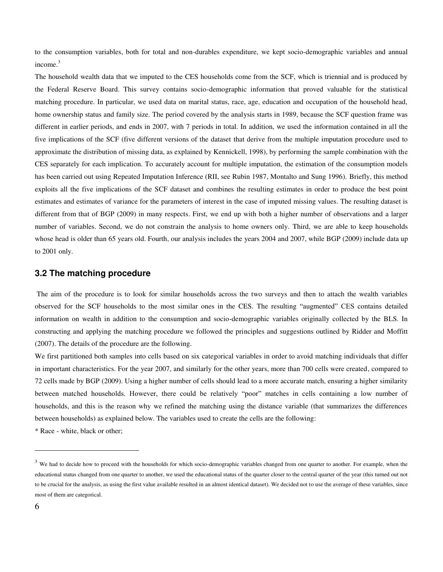to the consumption variables, both for total and non-durables expenditure, we kept socio-demographic variables and annual income.<sup>3</sup>

The household wealth data that we imputed to the CES households come from the SCF, which is triennial and is produced by the Federal Reserve Board. This survey contains socio-demographic information that proved valuable for the statistical matching procedure. In particular, we used data on marital status, race, age, education and occupation of the household head, home ownership status and family size. The period covered by the analysis starts in 1989, because the SCF question frame was different in earlier periods, and ends in 2007, with 7 periods in total. In addition, we used the information contained in all the five implications of the SCF (five different versions of the dataset that derive from the multiple imputation procedure used to approximate the distribution of missing data, as explained by Kennickell, 1998), by performing the sample combination with the CES separately for each implication. To accurately account for multiple imputation, the estimation of the consumption models has been carried out using Repeated Imputation Inference (RII, see Rubin 1987, Montalto and Sung 1996). Briefly, this method exploits all the five implications of the SCF dataset and combines the resulting estimates in order to produce the best point estimates and estimates of variance for the parameters of interest in the case of imputed missing values. The resulting dataset is different from that of BGP (2009) in many respects. First, we end up with both a higher number of observations and a larger number of variables. Second, we do not constrain the analysis to home owners only. Third, we are able to keep households whose head is older than 65 years old. Fourth, our analysis includes the years 2004 and 2007, while BGP (2009) include data up to 2001 only.

#### **3.2 The matching procedure**

 The aim of the procedure is to look for similar households across the two surveys and then to attach the wealth variables observed for the SCF households to the most similar ones in the CES. The resulting "augmented" CES contains detailed information on wealth in addition to the consumption and socio-demographic variables originally collected by the BLS. In constructing and applying the matching procedure we followed the principles and suggestions outlined by Ridder and Moffitt (2007). The details of the procedure are the following.

We first partitioned both samples into cells based on six categorical variables in order to avoid matching individuals that differ in important characteristics. For the year 2007, and similarly for the other years, more than 700 cells were created, compared to 72 cells made by BGP (2009). Using a higher number of cells should lead to a more accurate match, ensuring a higher similarity between matched households. However, there could be relatively "poor" matches in cells containing a low number of households, and this is the reason why we refined the matching using the distance variable (that summarizes the differences between households) as explained below. The variables used to create the cells are the following:

\* Race - white, black or other;

 $3$  We had to decide how to proceed with the households for which socio-demographic variables changed from one quarter to another. For example, when the educational status changed from one quarter to another, we used the educational status of the quarter closer to the central quarter of the year (this turned out not to be crucial for the analysis, as using the first value available resulted in an almost identical dataset). We decided not to use the average of these variables, since most of them are categorical.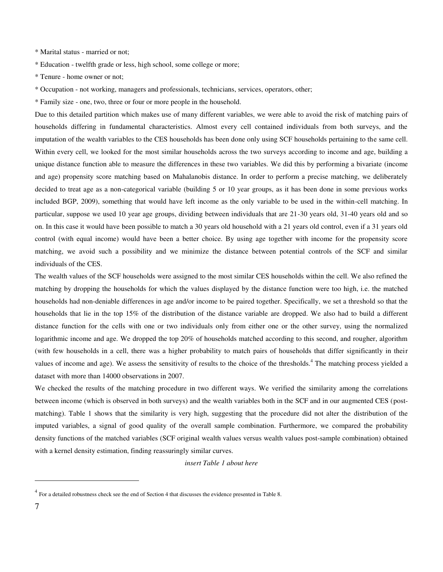\* Marital status - married or not;

\* Education - twelfth grade or less, high school, some college or more;

\* Tenure - home owner or not;

\* Occupation - not working, managers and professionals, technicians, services, operators, other;

\* Family size - one, two, three or four or more people in the household.

Due to this detailed partition which makes use of many different variables, we were able to avoid the risk of matching pairs of households differing in fundamental characteristics. Almost every cell contained individuals from both surveys, and the imputation of the wealth variables to the CES households has been done only using SCF households pertaining to the same cell. Within every cell, we looked for the most similar households across the two surveys according to income and age, building a unique distance function able to measure the differences in these two variables. We did this by performing a bivariate (income and age) propensity score matching based on Mahalanobis distance. In order to perform a precise matching, we deliberately decided to treat age as a non-categorical variable (building 5 or 10 year groups, as it has been done in some previous works included BGP, 2009), something that would have left income as the only variable to be used in the within-cell matching. In particular, suppose we used 10 year age groups, dividing between individuals that are 21-30 years old, 31-40 years old and so on. In this case it would have been possible to match a 30 years old household with a 21 years old control, even if a 31 years old control (with equal income) would have been a better choice. By using age together with income for the propensity score matching, we avoid such a possibility and we minimize the distance between potential controls of the SCF and similar individuals of the CES.

The wealth values of the SCF households were assigned to the most similar CES households within the cell. We also refined the matching by dropping the households for which the values displayed by the distance function were too high, i.e. the matched households had non-deniable differences in age and/or income to be paired together. Specifically, we set a threshold so that the households that lie in the top 15% of the distribution of the distance variable are dropped. We also had to build a different distance function for the cells with one or two individuals only from either one or the other survey, using the normalized logarithmic income and age. We dropped the top 20% of households matched according to this second, and rougher, algorithm (with few households in a cell, there was a higher probability to match pairs of households that differ significantly in their values of income and age). We assess the sensitivity of results to the choice of the thresholds.<sup>4</sup> The matching process yielded a dataset with more than 14000 observations in 2007.

We checked the results of the matching procedure in two different ways. We verified the similarity among the correlations between income (which is observed in both surveys) and the wealth variables both in the SCF and in our augmented CES (postmatching). Table 1 shows that the similarity is very high, suggesting that the procedure did not alter the distribution of the imputed variables, a signal of good quality of the overall sample combination. Furthermore, we compared the probability density functions of the matched variables (SCF original wealth values versus wealth values post-sample combination) obtained with a kernel density estimation, finding reassuringly similar curves.

*insert Table 1 about here* 

<sup>&</sup>lt;sup>4</sup> For a detailed robustness check see the end of Section 4 that discusses the evidence presented in Table 8.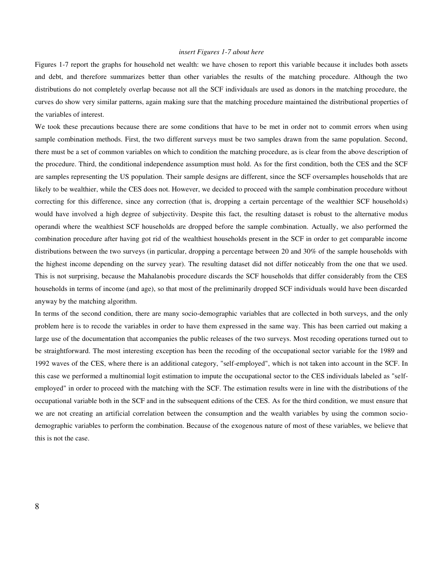#### *insert Figures 1-7 about here*

Figures 1-7 report the graphs for household net wealth: we have chosen to report this variable because it includes both assets and debt, and therefore summarizes better than other variables the results of the matching procedure. Although the two distributions do not completely overlap because not all the SCF individuals are used as donors in the matching procedure, the curves do show very similar patterns, again making sure that the matching procedure maintained the distributional properties of the variables of interest.

We took these precautions because there are some conditions that have to be met in order not to commit errors when using sample combination methods. First, the two different surveys must be two samples drawn from the same population. Second, there must be a set of common variables on which to condition the matching procedure, as is clear from the above description of the procedure. Third, the conditional independence assumption must hold. As for the first condition, both the CES and the SCF are samples representing the US population. Their sample designs are different, since the SCF oversamples households that are likely to be wealthier, while the CES does not. However, we decided to proceed with the sample combination procedure without correcting for this difference, since any correction (that is, dropping a certain percentage of the wealthier SCF households) would have involved a high degree of subjectivity. Despite this fact, the resulting dataset is robust to the alternative modus operandi where the wealthiest SCF households are dropped before the sample combination. Actually, we also performed the combination procedure after having got rid of the wealthiest households present in the SCF in order to get comparable income distributions between the two surveys (in particular, dropping a percentage between 20 and 30% of the sample households with the highest income depending on the survey year). The resulting dataset did not differ noticeably from the one that we used. This is not surprising, because the Mahalanobis procedure discards the SCF households that differ considerably from the CES households in terms of income (and age), so that most of the preliminarily dropped SCF individuals would have been discarded anyway by the matching algorithm.

In terms of the second condition, there are many socio-demographic variables that are collected in both surveys, and the only problem here is to recode the variables in order to have them expressed in the same way. This has been carried out making a large use of the documentation that accompanies the public releases of the two surveys. Most recoding operations turned out to be straightforward. The most interesting exception has been the recoding of the occupational sector variable for the 1989 and 1992 waves of the CES, where there is an additional category, "self-employed", which is not taken into account in the SCF. In this case we performed a multinomial logit estimation to impute the occupational sector to the CES individuals labeled as "selfemployed" in order to proceed with the matching with the SCF. The estimation results were in line with the distributions of the occupational variable both in the SCF and in the subsequent editions of the CES. As for the third condition, we must ensure that we are not creating an artificial correlation between the consumption and the wealth variables by using the common sociodemographic variables to perform the combination. Because of the exogenous nature of most of these variables, we believe that this is not the case.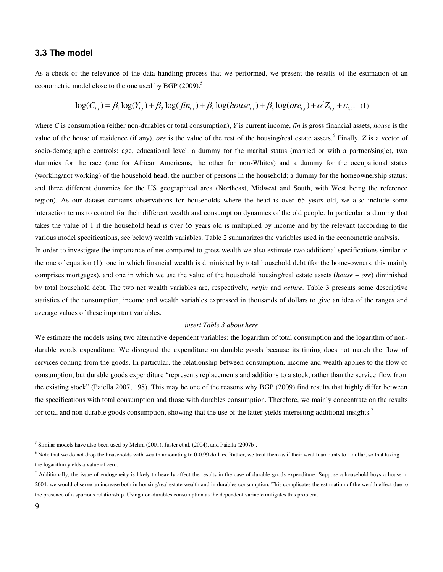#### **3.3 The model**

As a check of the relevance of the data handling process that we performed, we present the results of the estimation of an econometric model close to the one used by BGP (2009).<sup>5</sup>

$$
\log(C_{i,t}) = \beta_1 \log(Y_{i,t}) + \beta_2 \log(f_{i,t}) + \beta_3 \log(house_{i,t}) + \beta_3 \log(ore_{i,t}) + \alpha' Z_{i,t} + \varepsilon_{i,t},
$$
 (1)

where *C* is consumption (either non-durables or total consumption), *Y* is current income, *fin* is gross financial assets, *house* is the value of the house of residence (if any), *ore* is the value of the rest of the housing/real estate assets.<sup>6</sup> Finally, *Z* is a vector of socio-demographic controls: age, educational level, a dummy for the marital status (married or with a partner/single), two dummies for the race (one for African Americans, the other for non-Whites) and a dummy for the occupational status (working/not working) of the household head; the number of persons in the household; a dummy for the homeownership status; and three different dummies for the US geographical area (Northeast, Midwest and South, with West being the reference region). As our dataset contains observations for households where the head is over 65 years old, we also include some interaction terms to control for their different wealth and consumption dynamics of the old people. In particular, a dummy that takes the value of 1 if the household head is over 65 years old is multiplied by income and by the relevant (according to the various model specifications, see below) wealth variables. Table 2 summarizes the variables used in the econometric analysis.

In order to investigate the importance of net compared to gross wealth we also estimate two additional specifications similar to the one of equation (1): one in which financial wealth is diminished by total household debt (for the home-owners, this mainly comprises mortgages), and one in which we use the value of the household housing/real estate assets (*house* + *ore*) diminished by total household debt. The two net wealth variables are, respectively, *netfin* and *nethre*. Table 3 presents some descriptive statistics of the consumption, income and wealth variables expressed in thousands of dollars to give an idea of the ranges and average values of these important variables.

#### *insert Table 3 about here*

We estimate the models using two alternative dependent variables: the logarithm of total consumption and the logarithm of nondurable goods expenditure. We disregard the expenditure on durable goods because its timing does not match the flow of services coming from the goods. In particular, the relationship between consumption, income and wealth applies to the flow of consumption, but durable goods expenditure "represents replacements and additions to a stock, rather than the service flow from the existing stock" (Paiella 2007, 198). This may be one of the reasons why BGP (2009) find results that highly differ between the specifications with total consumption and those with durables consumption. Therefore, we mainly concentrate on the results for total and non durable goods consumption, showing that the use of the latter yields interesting additional insights.<sup>7</sup>

<sup>&</sup>lt;sup>5</sup> Similar models have also been used by Mehra (2001), Juster et al. (2004), and Paiella (2007b).

<sup>&</sup>lt;sup>6</sup> Note that we do not drop the households with wealth amounting to 0-0.99 dollars. Rather, we treat them as if their wealth amounts to 1 dollar, so that taking the logarithm yields a value of zero.

 $^7$  Additionally, the issue of endogeneity is likely to heavily affect the results in the case of durable goods expenditure. Suppose a household buys a house in 2004: we would observe an increase both in housing/real estate wealth and in durables consumption. This complicates the estimation of the wealth effect due to the presence of a spurious relationship. Using non-durables consumption as the dependent variable mitigates this problem.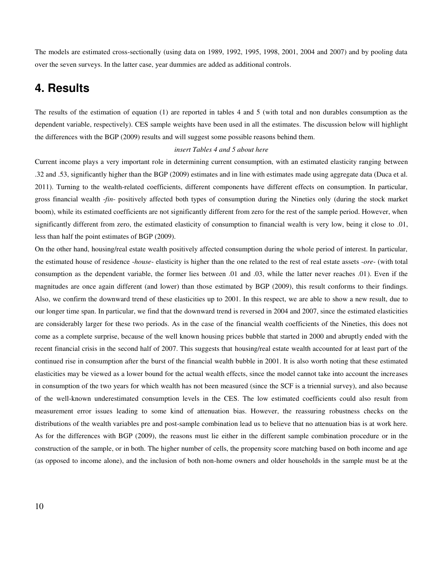The models are estimated cross-sectionally (using data on 1989, 1992, 1995, 1998, 2001, 2004 and 2007) and by pooling data over the seven surveys. In the latter case, year dummies are added as additional controls.

## **4. Results**

The results of the estimation of equation (1) are reported in tables 4 and 5 (with total and non durables consumption as the dependent variable, respectively). CES sample weights have been used in all the estimates. The discussion below will highlight the differences with the BGP (2009) results and will suggest some possible reasons behind them.

#### *insert Tables 4 and 5 about here*

Current income plays a very important role in determining current consumption, with an estimated elasticity ranging between .32 and .53, significantly higher than the BGP (2009) estimates and in line with estimates made using aggregate data (Duca et al. 2011). Turning to the wealth-related coefficients, different components have different effects on consumption. In particular, gross financial wealth -*fin*- positively affected both types of consumption during the Nineties only (during the stock market boom), while its estimated coefficients are not significantly different from zero for the rest of the sample period. However, when significantly different from zero, the estimated elasticity of consumption to financial wealth is very low, being it close to .01, less than half the point estimates of BGP (2009).

On the other hand, housing/real estate wealth positively affected consumption during the whole period of interest. In particular, the estimated house of residence -*house*- elasticity is higher than the one related to the rest of real estate assets -*ore*- (with total consumption as the dependent variable, the former lies between .01 and .03, while the latter never reaches .01). Even if the magnitudes are once again different (and lower) than those estimated by BGP (2009), this result conforms to their findings. Also, we confirm the downward trend of these elasticities up to 2001. In this respect, we are able to show a new result, due to our longer time span. In particular, we find that the downward trend is reversed in 2004 and 2007, since the estimated elasticities are considerably larger for these two periods. As in the case of the financial wealth coefficients of the Nineties, this does not come as a complete surprise, because of the well known housing prices bubble that started in 2000 and abruptly ended with the recent financial crisis in the second half of 2007. This suggests that housing/real estate wealth accounted for at least part of the continued rise in consumption after the burst of the financial wealth bubble in 2001. It is also worth noting that these estimated elasticities may be viewed as a lower bound for the actual wealth effects, since the model cannot take into account the increases in consumption of the two years for which wealth has not been measured (since the SCF is a triennial survey), and also because of the well-known underestimated consumption levels in the CES. The low estimated coefficients could also result from measurement error issues leading to some kind of attenuation bias. However, the reassuring robustness checks on the distributions of the wealth variables pre and post-sample combination lead us to believe that no attenuation bias is at work here. As for the differences with BGP (2009), the reasons must lie either in the different sample combination procedure or in the construction of the sample, or in both. The higher number of cells, the propensity score matching based on both income and age (as opposed to income alone), and the inclusion of both non-home owners and older households in the sample must be at the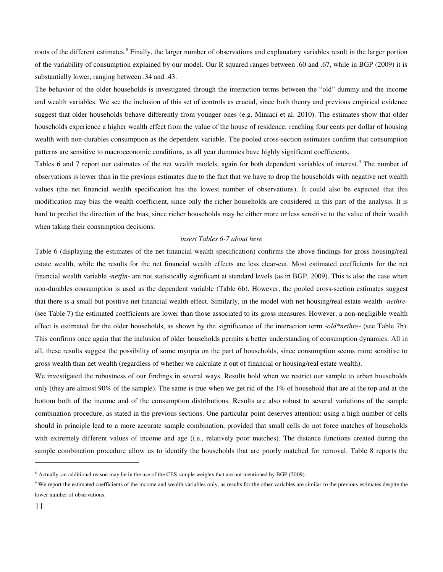roots of the different estimates.<sup>8</sup> Finally, the larger number of observations and explanatory variables result in the larger portion of the variability of consumption explained by our model. Our R squared ranges between .60 and .67, while in BGP (2009) it is substantially lower, ranging between .34 and .43.

The behavior of the older households is investigated through the interaction terms between the "old" dummy and the income and wealth variables. We see the inclusion of this set of controls as crucial, since both theory and previous empirical evidence suggest that older households behave differently from younger ones (e.g. Miniaci et al. 2010). The estimates show that older households experience a higher wealth effect from the value of the house of residence, reaching four cents per dollar of housing wealth with non-durables consumption as the dependent variable. The pooled cross-section estimates confirm that consumption patterns are sensitive to macroeconomic conditions, as all year dummies have highly significant coefficients.

Tables 6 and 7 report our estimates of the net wealth models, again for both dependent variables of interest.<sup>9</sup> The number of observations is lower than in the previous estimates due to the fact that we have to drop the households with negative net wealth values (the net financial wealth specification has the lowest number of observations). It could also be expected that this modification may bias the wealth coefficient, since only the richer households are considered in this part of the analysis. It is hard to predict the direction of the bias, since richer households may be either more or less sensitive to the value of their wealth when taking their consumption decisions.

#### *insert Tables 6-7 about here*

Table 6 (displaying the estimates of the net financial wealth specification) confirms the above findings for gross housing/real estate wealth, while the results for the net financial wealth effects are less clear-cut. Most estimated coefficients for the net financial wealth variable -*netfin*- are not statistically significant at standard levels (as in BGP, 2009). This is also the case when non-durables consumption is used as the dependent variable (Table 6b). However, the pooled cross-section estimates suggest that there is a small but positive net financial wealth effect. Similarly, in the model with net housing/real estate wealth -*nethre*- (see Table 7) the estimated coefficients are lower than those associated to its gross measures. However, a non-negligible wealth effect is estimated for the older households, as shown by the significance of the interaction term -*old\*nethre*- (see Table 7b). This confirms once again that the inclusion of older households permits a better understanding of consumption dynamics. All in all, these results suggest the possibility of some myopia on the part of households, since consumption seems more sensitive to gross wealth than net wealth (regardless of whether we calculate it out of financial or housing/real estate wealth).

We investigated the robustness of our findings in several ways. Results hold when we restrict our sample to urban households only (they are almost 90% of the sample). The same is true when we get rid of the 1% of household that are at the top and at the bottom both of the income and of the consumption distributions. Results are also robust to several variations of the sample combination procedure, as stated in the previous sections. One particular point deserves attention: using a high number of cells should in principle lead to a more accurate sample combination, provided that small cells do not force matches of households with extremely different values of income and age (i.e., relatively poor matches). The distance functions created during the sample combination procedure allow us to identify the households that are poorly matched for removal. Table 8 reports the

<sup>8</sup> Actually, an additional reason may lie in the use of the CES sample weights that are not mentioned by BGP (2009).

<sup>&</sup>lt;sup>9</sup> We report the estimated coefficients of the income and wealth variables only, as results for the other variables are similar to the previous estimates despite the lower number of observations.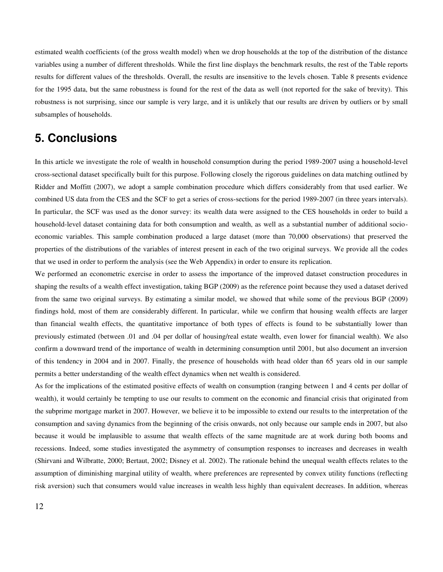estimated wealth coefficients (of the gross wealth model) when we drop households at the top of the distribution of the distance variables using a number of different thresholds. While the first line displays the benchmark results, the rest of the Table reports results for different values of the thresholds. Overall, the results are insensitive to the levels chosen. Table 8 presents evidence for the 1995 data, but the same robustness is found for the rest of the data as well (not reported for the sake of brevity). This robustness is not surprising, since our sample is very large, and it is unlikely that our results are driven by outliers or by small subsamples of households.

## **5. Conclusions**

In this article we investigate the role of wealth in household consumption during the period 1989-2007 using a household-level cross-sectional dataset specifically built for this purpose. Following closely the rigorous guidelines on data matching outlined by Ridder and Moffitt (2007), we adopt a sample combination procedure which differs considerably from that used earlier. We combined US data from the CES and the SCF to get a series of cross-sections for the period 1989-2007 (in three years intervals). In particular, the SCF was used as the donor survey: its wealth data were assigned to the CES households in order to build a household-level dataset containing data for both consumption and wealth, as well as a substantial number of additional socioeconomic variables. This sample combination produced a large dataset (more than 70,000 observations) that preserved the properties of the distributions of the variables of interest present in each of the two original surveys. We provide all the codes that we used in order to perform the analysis (see the Web Appendix) in order to ensure its replication.

We performed an econometric exercise in order to assess the importance of the improved dataset construction procedures in shaping the results of a wealth effect investigation, taking BGP (2009) as the reference point because they used a dataset derived from the same two original surveys. By estimating a similar model, we showed that while some of the previous BGP (2009) findings hold, most of them are considerably different. In particular, while we confirm that housing wealth effects are larger than financial wealth effects, the quantitative importance of both types of effects is found to be substantially lower than previously estimated (between .01 and .04 per dollar of housing/real estate wealth, even lower for financial wealth). We also confirm a downward trend of the importance of wealth in determining consumption until 2001, but also document an inversion of this tendency in 2004 and in 2007. Finally, the presence of households with head older than 65 years old in our sample permits a better understanding of the wealth effect dynamics when net wealth is considered.

As for the implications of the estimated positive effects of wealth on consumption (ranging between 1 and 4 cents per dollar of wealth), it would certainly be tempting to use our results to comment on the economic and financial crisis that originated from the subprime mortgage market in 2007. However, we believe it to be impossible to extend our results to the interpretation of the consumption and saving dynamics from the beginning of the crisis onwards, not only because our sample ends in 2007, but also because it would be implausible to assume that wealth effects of the same magnitude are at work during both booms and recessions. Indeed, some studies investigated the asymmetry of consumption responses to increases and decreases in wealth (Shirvani and Wilbratte, 2000; Bertaut, 2002; Disney et al. 2002). The rationale behind the unequal wealth effects relates to the assumption of diminishing marginal utility of wealth, where preferences are represented by convex utility functions (reflecting risk aversion) such that consumers would value increases in wealth less highly than equivalent decreases. In addition, whereas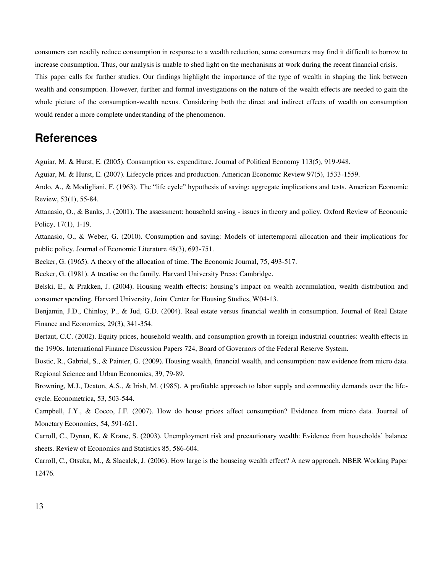consumers can readily reduce consumption in response to a wealth reduction, some consumers may find it difficult to borrow to increase consumption. Thus, our analysis is unable to shed light on the mechanisms at work during the recent financial crisis. This paper calls for further studies. Our findings highlight the importance of the type of wealth in shaping the link between wealth and consumption. However, further and formal investigations on the nature of the wealth effects are needed to gain the whole picture of the consumption-wealth nexus. Considering both the direct and indirect effects of wealth on consumption would render a more complete understanding of the phenomenon.

## **References**

Aguiar, M. & Hurst, E. (2005). Consumption vs. expenditure. Journal of Political Economy 113(5), 919-948.

Aguiar, M. & Hurst, E. (2007). Lifecycle prices and production. American Economic Review 97(5), 1533-1559.

Ando, A., & Modigliani, F. (1963). The "life cycle" hypothesis of saving: aggregate implications and tests. American Economic Review, 53(1), 55-84.

Attanasio, O., & Banks, J. (2001). The assessment: household saving - issues in theory and policy. Oxford Review of Economic Policy, 17(1), 1-19.

Attanasio, O., & Weber, G. (2010). Consumption and saving: Models of intertemporal allocation and their implications for public policy. Journal of Economic Literature 48(3), 693-751.

Becker, G. (1965). A theory of the allocation of time. The Economic Journal, 75, 493-517.

Becker, G. (1981). A treatise on the family. Harvard University Press: Cambridge.

Belski, E., & Prakken, J. (2004). Housing wealth effects: housing's impact on wealth accumulation, wealth distribution and consumer spending. Harvard University, Joint Center for Housing Studies, W04-13.

Benjamin, J.D., Chinloy, P., & Jud, G.D. (2004). Real estate versus financial wealth in consumption. Journal of Real Estate Finance and Economics, 29(3), 341-354.

Bertaut, C.C. (2002). Equity prices, household wealth, and consumption growth in foreign industrial countries: wealth effects in the 1990s. International Finance Discussion Papers 724, Board of Governors of the Federal Reserve System.

Bostic, R., Gabriel, S., & Painter, G. (2009). Housing wealth, financial wealth, and consumption: new evidence from micro data. Regional Science and Urban Economics, 39, 79-89.

Browning, M.J., Deaton, A.S., & Irish, M. (1985). A profitable approach to labor supply and commodity demands over the lifecycle. Econometrica, 53, 503-544.

Campbell, J.Y., & Cocco, J.F. (2007). How do house prices affect consumption? Evidence from micro data. Journal of Monetary Economics, 54, 591-621.

Carroll, C., Dynan, K. & Krane, S. (2003). Unemployment risk and precautionary wealth: Evidence from households' balance sheets. Review of Economics and Statistics 85, 586-604.

Carroll, C., Otsuka, M., & Slacalek, J. (2006). How large is the houseing wealth effect? A new approach. NBER Working Paper 12476.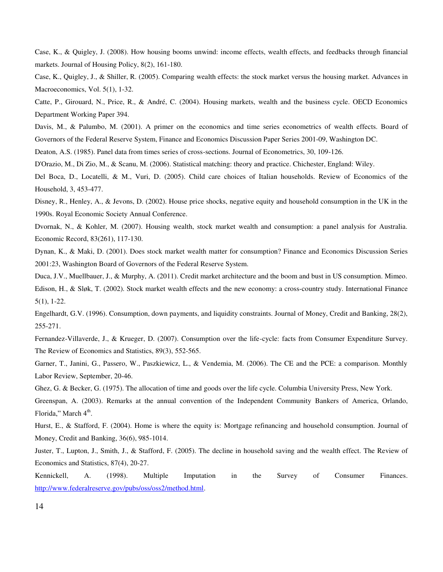Case, K., & Quigley, J. (2008). How housing booms unwind: income effects, wealth effects, and feedbacks through financial markets. Journal of Housing Policy, 8(2), 161-180.

Case, K., Quigley, J., & Shiller, R. (2005). Comparing wealth effects: the stock market versus the housing market. Advances in Macroeconomics, Vol. 5(1), 1-32.

Catte, P., Girouard, N., Price, R., & André, C. (2004). Housing markets, wealth and the business cycle. OECD Economics Department Working Paper 394.

Davis, M., & Palumbo, M. (2001). A primer on the economics and time series econometrics of wealth effects. Board of Governors of the Federal Reserve System, Finance and Economics Discussion Paper Series 2001-09, Washington DC.

Deaton, A.S. (1985). Panel data from times series of cross-sections. Journal of Econometrics, 30, 109-126.

D'Orazio, M., Di Zio, M., & Scanu, M. (2006). Statistical matching: theory and practice. Chichester, England: Wiley.

Del Boca, D., Locatelli, & M., Vuri, D. (2005). Child care choices of Italian households. Review of Economics of the Household, 3, 453-477.

Disney, R., Henley, A., & Jevons, D. (2002). House price shocks, negative equity and household consumption in the UK in the 1990s. Royal Economic Society Annual Conference.

Dvornak, N., & Kohler, M. (2007). Housing wealth, stock market wealth and consumption: a panel analysis for Australia. Economic Record, 83(261), 117-130.

Dynan, K., & Maki, D. (2001). Does stock market wealth matter for consumption? Finance and Economics Discussion Series 2001:23, Washington Board of Governors of the Federal Reserve System.

Duca, J.V., Muellbauer, J., & Murphy, A. (2011). Credit market architecture and the boom and bust in US consumption. Mimeo. Edison, H., & Sløk, T. (2002). Stock market wealth effects and the new economy: a cross-country study. International Finance 5(1), 1-22.

Engelhardt, G.V. (1996). Consumption, down payments, and liquidity constraints. Journal of Money, Credit and Banking, 28(2), 255-271.

Fernandez-Villaverde, J., & Krueger, D. (2007). Consumption over the life-cycle: facts from Consumer Expenditure Survey. The Review of Economics and Statistics, 89(3), 552-565.

Garner, T., Janini, G., Passero, W., Paszkiewicz, L., & Vendemia, M. (2006). The CE and the PCE: a comparison. Monthly Labor Review, September, 20-46.

Ghez, G. & Becker, G. (1975). The allocation of time and goods over the life cycle. Columbia University Press, New York.

Greenspan, A. (2003). Remarks at the annual convention of the Independent Community Bankers of America, Orlando, Florida," March 4<sup>th</sup>.

Hurst, E., & Stafford, F. (2004). Home is where the equity is: Mortgage refinancing and household consumption. Journal of Money, Credit and Banking, 36(6), 985-1014.

Juster, T., Lupton, J., Smith, J., & Stafford, F. (2005). The decline in household saving and the wealth effect. The Review of Economics and Statistics, 87(4), 20-27.

Kennickell, A. (1998). Multiple Imputation in the Survey of Consumer Finances. [http://www.federalreserve.gov/pubs/oss/oss2/method.html.](http://www.federalreserve.gov/pubs/oss/oss2/method.html)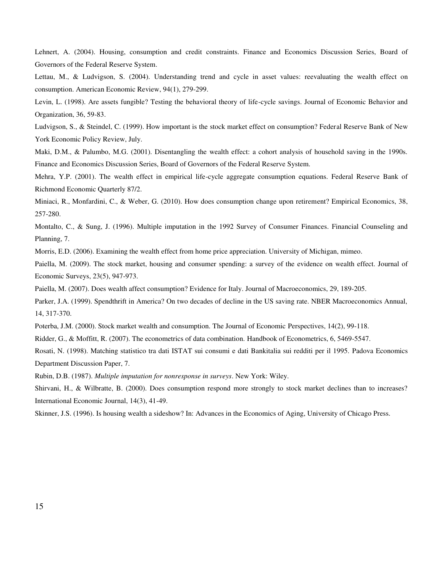Lehnert, A. (2004). Housing, consumption and credit constraints. Finance and Economics Discussion Series, Board of Governors of the Federal Reserve System.

Lettau, M., & Ludvigson, S. (2004). Understanding trend and cycle in asset values: reevaluating the wealth effect on consumption. American Economic Review, 94(1), 279-299.

Levin, L. (1998). Are assets fungible? Testing the behavioral theory of life-cycle savings. Journal of Economic Behavior and Organization, 36, 59-83.

Ludvigson, S., & Steindel, C. (1999). How important is the stock market effect on consumption? Federal Reserve Bank of New York Economic Policy Review, July.

Maki, D.M., & Palumbo, M.G. (2001). Disentangling the wealth effect: a cohort analysis of household saving in the 1990s. Finance and Economics Discussion Series, Board of Governors of the Federal Reserve System.

Mehra, Y.P. (2001). The wealth effect in empirical life-cycle aggregate consumption equations. Federal Reserve Bank of Richmond Economic Quarterly 87/2.

Miniaci, R., Monfardini, C., & Weber, G. (2010). How does consumption change upon retirement? Empirical Economics, 38, 257-280.

Montalto, C., & Sung, J. (1996). Multiple imputation in the 1992 Survey of Consumer Finances. Financial Counseling and Planning, 7.

Morris, E.D. (2006). Examining the wealth effect from home price appreciation. University of Michigan, mimeo.

Paiella, M. (2009). The stock market, housing and consumer spending: a survey of the evidence on wealth effect. Journal of Economic Surveys, 23(5), 947-973.

Paiella, M. (2007). Does wealth affect consumption? Evidence for Italy. Journal of Macroeconomics, 29, 189-205.

Parker, J.A. (1999). Spendthrift in America? On two decades of decline in the US saving rate. NBER Macroeconomics Annual, 14, 317-370.

Poterba, J.M. (2000). Stock market wealth and consumption. The Journal of Economic Perspectives, 14(2), 99-118.

Ridder, G., & Moffitt, R. (2007). The econometrics of data combination. Handbook of Econometrics, 6, 5469-5547.

Rosati, N. (1998). Matching statistico tra dati ISTAT sui consumi e dati Bankitalia sui redditi per il 1995. Padova Economics Department Discussion Paper, 7.

Rubin, D.B. (1987). *Multiple imputation for nonresponse in surveys*. New York: Wiley.

Shirvani, H., & Wilbratte, B. (2000). Does consumption respond more strongly to stock market declines than to increases? International Economic Journal, 14(3), 41-49.

Skinner, J.S. (1996). Is housing wealth a sideshow? In: Advances in the Economics of Aging, University of Chicago Press.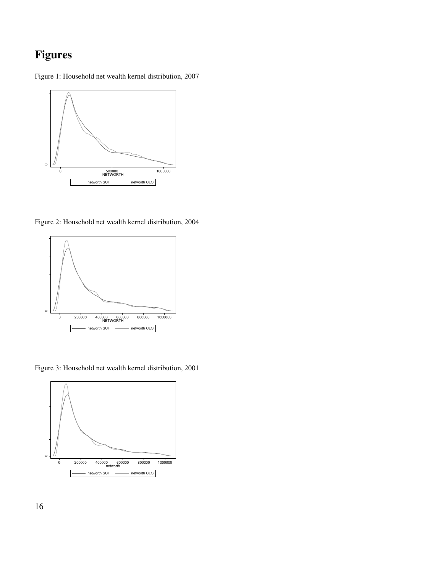## **Figures**

Figure 1: Household net wealth kernel distribution, 2007



Figure 2: Household net wealth kernel distribution, 2004



Figure 3: Household net wealth kernel distribution, 2001

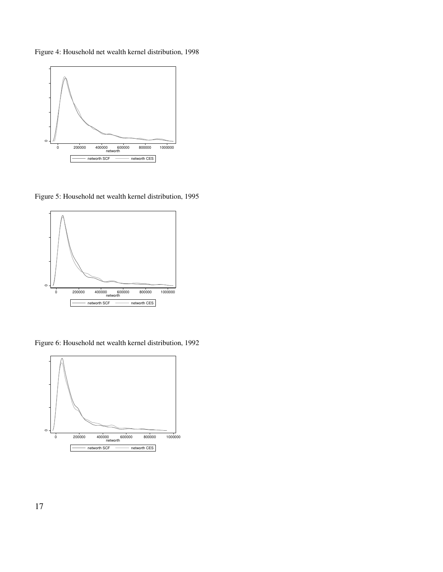Figure 4: Household net wealth kernel distribution, 1998



Figure 5: Household net wealth kernel distribution, 1995



Figure 6: Household net wealth kernel distribution, 1992



17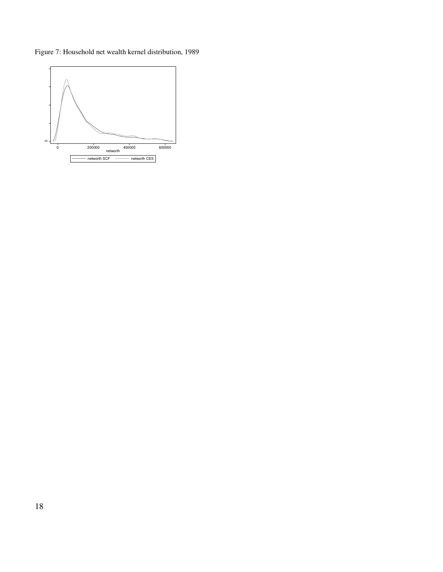Figure 7: Household net wealth kernel distribution, 1989

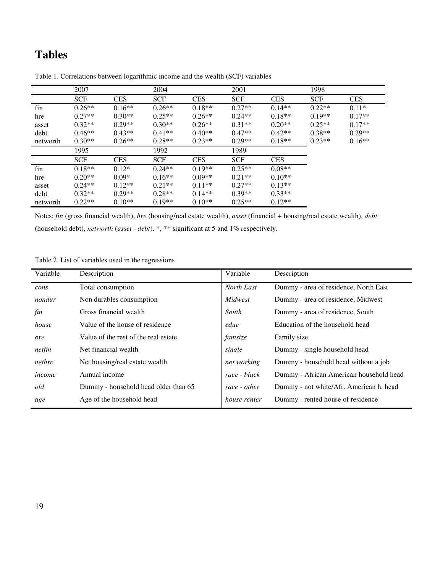## **Tables**

|          | 2007       |            | 2004       |            | 2001       |            | 1998       |            |
|----------|------------|------------|------------|------------|------------|------------|------------|------------|
|          | <b>SCF</b> | <b>CES</b> | <b>SCF</b> | <b>CES</b> | <b>SCF</b> | <b>CES</b> | <b>SCF</b> | <b>CES</b> |
| fin      | $0.26**$   | $0.16**$   | $0.26**$   | $0.18**$   | $0.27**$   | $0.14**$   | $0.22**$   | $0.11*$    |
| hre      | $0.27**$   | $0.30**$   | $0.25**$   | $0.26**$   | $0.24**$   | $0.18**$   | $0.19**$   | $0.17**$   |
| asset    | $0.32**$   | $0.29**$   | $0.30**$   | $0.26**$   | $0.31**$   | $0.20**$   | $0.25**$   | $0.17**$   |
| debt     | $0.46**$   | $0.43**$   | $0.41**$   | $0.40**$   | $0.47**$   | $0.42**$   | $0.38**$   | $0.29**$   |
| networth | $0.30**$   | $0.26**$   | $0.28**$   | $0.23**$   | $0.29**$   | $0.18**$   | $0.23**$   | $0.16**$   |
|          | 1995       |            | 1992       |            | 1989       |            |            |            |
|          | <b>SCF</b> | <b>CES</b> | <b>SCF</b> | <b>CES</b> | <b>SCF</b> | <b>CES</b> |            |            |
| fin      | $0.18**$   | $0.12*$    | $0.24**$   | $0.19**$   | $0.25**$   | $0.08**$   |            |            |
| hre      | $0.20**$   | $0.09*$    | $0.16**$   | $0.09**$   | $0.21**$   | $0.10**$   |            |            |
| asset    | $0.24**$   | $0.12**$   | $0.21**$   | $0.11**$   | $0.27**$   | $0.13**$   |            |            |
| debt     | $0.32**$   | $0.29**$   | $0.28**$   | $0.14**$   | $0.39**$   | $0.33**$   |            |            |
| networth | $0.22**$   | $0.10**$   | $0.19**$   | $0.10**$   | $0.25**$   | $0.12**$   |            |            |

Table 1. Correlations between logarithmic income and the wealth (SCF) variables

Notes: *fin* (gross financial wealth), *hre* (housing/real estate wealth), *asset* (financial + housing/real estate wealth), *debt* (household debt), *networth* (*asset* - *debt*). \*, \*\* significant at 5 and 1% respectively.

Table 2. List of variables used in the regressions

| Variable | Description                          | Variable            | Description                             |
|----------|--------------------------------------|---------------------|-----------------------------------------|
| cons     | Total consumption                    | North East          | Dummy - area of residence, North East   |
| nondur   | Non durables consumption             | Midwest             | Dummy - area of residence, Midwest      |
| fin      | Gross financial wealth               | South               | Dummy - area of residence, South        |
| house    | Value of the house of residence      | educ                | Education of the household head         |
| ore      | Value of the rest of the real estate | famsize             | Family size                             |
| netfin   | Net financial wealth                 | single              | Dummy - single household head           |
| nethre   | Net housing/real estate wealth       | not working         | Dummy - household head without a job    |
| income   | Annual income                        | race - black        | Dummy - African American household head |
| old      | Dummy - household head older than 65 | race - other        | Dummy - not white/Afr. American h. head |
| age      | Age of the household head            | <i>house renter</i> | Dummy - rented house of residence       |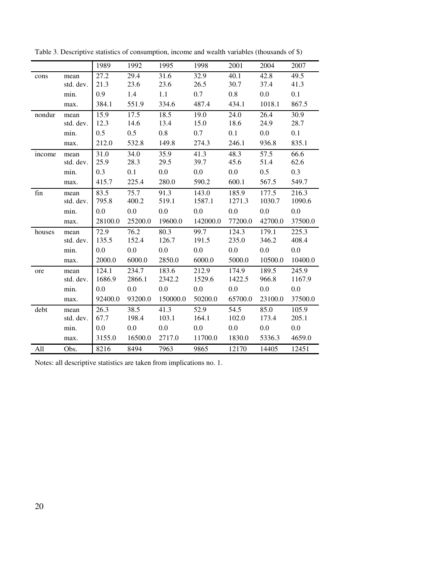|                      |           | 1989    | 1992    | 1995     | 1998     | 2001    | 2004    | 2007    |
|----------------------|-----------|---------|---------|----------|----------|---------|---------|---------|
| cons                 | mean      | 27.2    | 29.4    | 31.6     | 32.9     | 40.1    | 42.8    | 49.5    |
|                      | std. dev. | 21.3    | 23.6    | 23.6     | 26.5     | 30.7    | 37.4    | 41.3    |
|                      | min.      | 0.9     | 1.4     | 1.1      | 0.7      | 0.8     | 0.0     | 0.1     |
|                      | max.      | 384.1   | 551.9   | 334.6    | 487.4    | 434.1   | 1018.1  | 867.5   |
| nondur               | mean      | 15.9    | 17.5    | 18.5     | 19.0     | 24.0    | 26.4    | 30.9    |
|                      | std. dev. | 12.3    | 14.6    | 13.4     | 15.0     | 18.6    | 24.9    | 28.7    |
|                      | min.      | 0.5     | 0.5     | 0.8      | 0.7      | 0.1     | 0.0     | 0.1     |
|                      | max.      | 212.0   | 532.8   | 149.8    | 274.3    | 246.1   | 936.8   | 835.1   |
| income               | mean      | 31.0    | 34.0    | 35.9     | 41.3     | 48.3    | 57.5    | 66.6    |
|                      | std. dev. | 25.9    | 28.3    | 29.5     | 39.7     | 45.6    | 51.4    | 62.6    |
|                      | min.      | 0.3     | 0.1     | 0.0      | 0.0      | 0.0     | 0.5     | 0.3     |
|                      | max.      | 415.7   | 225.4   | 280.0    | 590.2    | 600.1   | 567.5   | 549.7   |
| $\operatorname{fin}$ | mean      | 83.5    | 75.7    | 91.3     | 143.0    | 185.9   | 177.5   | 216.3   |
|                      | std. dev. | 795.8   | 400.2   | 519.1    | 1587.1   | 1271.3  | 1030.7  | 1090.6  |
|                      | min.      | 0.0     | 0.0     | 0.0      | 0.0      | 0.0     | 0.0     | 0.0     |
|                      | max.      | 28100.0 | 25200.0 | 19600.0  | 142000.0 | 77200.0 | 42700.0 | 37500.0 |
| houses               | mean      | 72.9    | 76.2    | 80.3     | 99.7     | 124.3   | 179.1   | 225.3   |
|                      | std. dev. | 135.5   | 152.4   | 126.7    | 191.5    | 235.0   | 346.2   | 408.4   |
|                      | min.      | 0.0     | 0.0     | 0.0      | 0.0      | 0.0     | 0.0     | 0.0     |
|                      | max.      | 2000.0  | 6000.0  | 2850.0   | 6000.0   | 5000.0  | 10500.0 | 10400.0 |
| ore                  | mean      | 124.1   | 234.7   | 183.6    | 212.9    | 174.9   | 189.5   | 245.9   |
|                      | std. dev. | 1686.9  | 2866.1  | 2342.2   | 1529.6   | 1422.5  | 966.8   | 1167.9  |
|                      | min.      | 0.0     | 0.0     | 0.0      | 0.0      | 0.0     | 0.0     | 0.0     |
|                      | max.      | 92400.0 | 93200.0 | 150000.0 | 50200.0  | 65700.0 | 23100.0 | 37500.0 |
| debt                 | mean      | 26.3    | 38.5    | 41.3     | 52.9     | 54.5    | 85.0    | 105.9   |
|                      | std. dev. | 67.7    | 198.4   | 103.1    | 164.1    | 102.0   | 173.4   | 205.1   |
|                      | min.      | 0.0     | 0.0     | 0.0      | 0.0      | 0.0     | 0.0     | 0.0     |
|                      | max.      | 3155.0  | 16500.0 | 2717.0   | 11700.0  | 1830.0  | 5336.3  | 4659.0  |
| All                  | Obs.      | 8216    | 8494    | 7963     | 9865     | 12170   | 14405   | 12451   |

Table 3. Descriptive statistics of consumption, income and wealth variables (thousands of \$)

Notes: all descriptive statistics are taken from implications no. 1.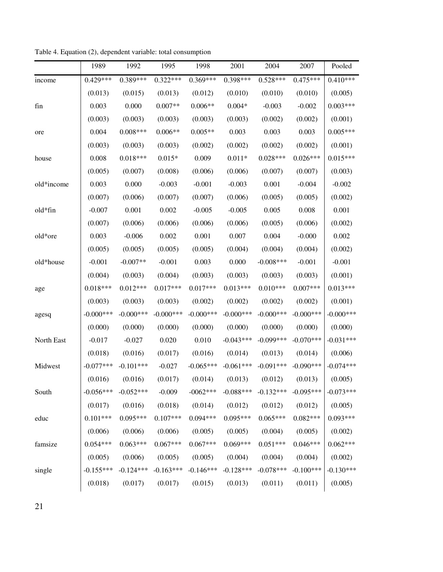|            | 1989        | 1992        | 1995        | 1998        | 2001         | 2004         | 2007        | Pooled       |
|------------|-------------|-------------|-------------|-------------|--------------|--------------|-------------|--------------|
| income     | $0.429***$  | $0.389***$  | $0.322***$  | $0.369***$  | $0.398***$   | $0.528***$   | $0.475***$  | $0.410***$   |
|            | (0.013)     | (0.015)     | (0.013)     | (0.012)     | (0.010)      | (0.010)      | (0.010)     | (0.005)      |
| fin        | 0.003       | 0.000       | $0.007**$   | $0.006**$   | $0.004*$     | $-0.003$     | $-0.002$    | $0.003***$   |
|            | (0.003)     | (0.003)     | (0.003)     | (0.003)     | (0.003)      | (0.002)      | (0.002)     | (0.001)      |
| ore        | 0.004       | $0.008***$  | $0.006**$   | $0.005**$   | 0.003        | 0.003        | 0.003       | $0.005***$   |
|            | (0.003)     | (0.003)     | (0.003)     | (0.002)     | (0.002)      | (0.002)      | (0.002)     | (0.001)      |
| house      | 0.008       | $0.018***$  | $0.015*$    | 0.009       | $0.011*$     | $0.028***$   | $0.026***$  | $0.015***$   |
|            | (0.005)     | (0.007)     | (0.008)     | (0.006)     | (0.006)      | (0.007)      | (0.007)     | (0.003)      |
| old*income | 0.003       | 0.000       | $-0.003$    | $-0.001$    | $-0.003$     | 0.001        | $-0.004$    | $-0.002$     |
|            | (0.007)     | (0.006)     | (0.007)     | (0.007)     | (0.006)      | (0.005)      | (0.005)     | (0.002)      |
| old*fin    | $-0.007$    | 0.001       | 0.002       | $-0.005$    | $-0.005$     | 0.005        | 0.008       | 0.001        |
|            | (0.007)     | (0.006)     | (0.006)     | (0.006)     | (0.006)      | (0.005)      | (0.006)     | (0.002)      |
| old*ore    | 0.003       | $-0.006$    | 0.002       | 0.001       | 0.007        | 0.004        | $-0.000$    | 0.002        |
|            | (0.005)     | (0.005)     | (0.005)     | (0.005)     | (0.004)      | (0.004)      | (0.004)     | (0.002)      |
| old*house  | $-0.001$    | $-0.007**$  | $-0.001$    | 0.003       | 0.000        | $-0.008***$  | $-0.001$    | $-0.001$     |
|            | (0.004)     | (0.003)     | (0.004)     | (0.003)     | (0.003)      | (0.003)      | (0.003)     | (0.001)      |
| age        | $0.018***$  | $0.012***$  | $0.017***$  | $0.017***$  | $0.013***$   | $0.010***$   | $0.007***$  | $0.013***$   |
|            | (0.003)     | (0.003)     | (0.003)     | (0.002)     | (0.002)      | (0.002)      | (0.002)     | (0.001)      |
| agesq      | $-0.000***$ | $-0.000***$ | $-0.000***$ | $-0.000***$ | $-0.000$ *** | $-0.000$ *** | $-0.000***$ | $-0.000$ *** |
|            | (0.000)     | (0.000)     | (0.000)     | (0.000)     | (0.000)      | (0.000)      | (0.000)     | (0.000)      |
| North East | $-0.017$    | $-0.027$    | 0.020       | 0.010       | $-0.043***$  | $-0.099***$  | $-0.070***$ | $-0.031***$  |
|            | (0.018)     | (0.016)     | (0.017)     | (0.016)     | (0.014)      | (0.013)      | (0.014)     | (0.006)      |
| Midwest    | $-0.077***$ | $-0.101***$ | $-0.027$    | $-0.065***$ | $-0.061***$  | $-0.091***$  | $-0.090***$ | $-0.074***$  |
|            | (0.016)     | (0.016)     | (0.017)     | (0.014)     | (0.013)      | (0.012)      | (0.013)     | (0.005)      |
| South      | $-0.056***$ | $-0.052***$ | $-0.009$    | $-0062***$  | $-0.088***$  | $-0.132***$  | $-0.095***$ | $-0.073***$  |
|            | (0.017)     | (0.016)     | (0.018)     | (0.014)     | (0.012)      | (0.012)      | (0.012)     | (0.005)      |
| educ       | $0.101***$  | $0.095***$  | $0.107***$  | $0.094***$  | $0.095***$   | $0.065***$   | $0.082***$  | $0.093***$   |
|            | (0.006)     | (0.006)     | (0.006)     | (0.005)     | (0.005)      | (0.004)      | (0.005)     | (0.002)      |
| famsize    | $0.054***$  | $0.063***$  | $0.067***$  | $0.067***$  | $0.069***$   | $0.051***$   | $0.046***$  | $0.062***$   |
|            | (0.005)     | (0.006)     | (0.005)     | (0.005)     | (0.004)      | (0.004)      | (0.004)     | (0.002)      |
| single     | $-0.155***$ | $-0.124***$ | $-0.163***$ | $-0.146***$ | $-0.128***$  | $-0.078***$  | $-0.100***$ | $-0.130***$  |
|            | (0.018)     | (0.017)     | (0.017)     | (0.015)     | (0.013)      | (0.011)      | (0.011)     | (0.005)      |

Table 4. Equation (2), dependent variable: total consumption

21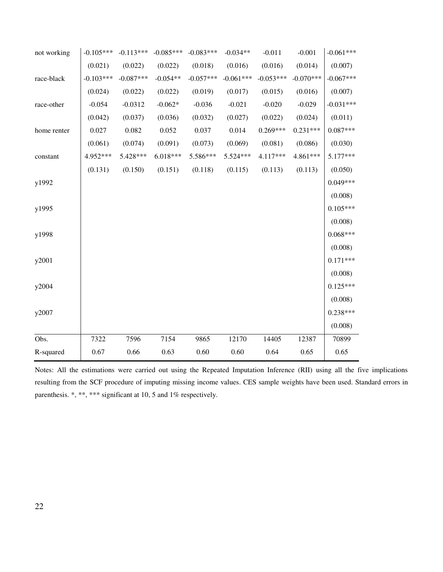| not working | $-0.105***$ | $-0.113***$ | $-0.085***$ | $-0.083***$ | $-0.034**$  | $-0.011$    | $-0.001$    | $-0.061***$ |
|-------------|-------------|-------------|-------------|-------------|-------------|-------------|-------------|-------------|
|             | (0.021)     | (0.022)     | (0.022)     | (0.018)     | (0.016)     | (0.016)     | (0.014)     | (0.007)     |
| race-black  | $-0.103***$ | $-0.087***$ | $-0.054**$  | $-0.057***$ | $-0.061***$ | $-0.053***$ | $-0.070***$ | $-0.067***$ |
|             | (0.024)     | (0.022)     | (0.022)     | (0.019)     | (0.017)     | (0.015)     | (0.016)     | (0.007)     |
| race-other  | $-0.054$    | $-0.0312$   | $-0.062*$   | $-0.036$    | $-0.021$    | $-0.020$    | $-0.029$    | $-0.031***$ |
|             | (0.042)     | (0.037)     | (0.036)     | (0.032)     | (0.027)     | (0.022)     | (0.024)     | (0.011)     |
| home renter | 0.027       | 0.082       | 0.052       | 0.037       | 0.014       | $0.269***$  | $0.231***$  | $0.087***$  |
|             | (0.061)     | (0.074)     | (0.091)     | (0.073)     | (0.069)     | (0.081)     | (0.086)     | (0.030)     |
| constant    | 4.952***    | 5.428***    | $6.018***$  | 5.586***    | 5.524 ***   | 4.117***    | 4.861***    | 5.177***    |
|             | (0.131)     | (0.150)     | (0.151)     | (0.118)     | (0.115)     | (0.113)     | (0.113)     | (0.050)     |
| y1992       |             |             |             |             |             |             |             | $0.049***$  |
|             |             |             |             |             |             |             |             | (0.008)     |
| y1995       |             |             |             |             |             |             |             | $0.105***$  |
|             |             |             |             |             |             |             |             | (0.008)     |
| y1998       |             |             |             |             |             |             |             | $0.068***$  |
|             |             |             |             |             |             |             |             | (0.008)     |
| y2001       |             |             |             |             |             |             |             | $0.171***$  |
|             |             |             |             |             |             |             |             | (0.008)     |
| y2004       |             |             |             |             |             |             |             | $0.125***$  |
|             |             |             |             |             |             |             |             | (0.008)     |
| y2007       |             |             |             |             |             |             |             | $0.238***$  |
|             |             |             |             |             |             |             |             | (0.008)     |
| Obs.        | 7322        | 7596        | 7154        | 9865        | 12170       | 14405       | 12387       | 70899       |
| R-squared   | 0.67        | 0.66        | 0.63        | 0.60        | 0.60        | 0.64        | 0.65        | 0.65        |

Notes: All the estimations were carried out using the Repeated Imputation Inference (RII) using all the five implications resulting from the SCF procedure of imputing missing income values. CES sample weights have been used. Standard errors in parenthesis. \*, \*\*, \*\*\* significant at 10, 5 and 1% respectively.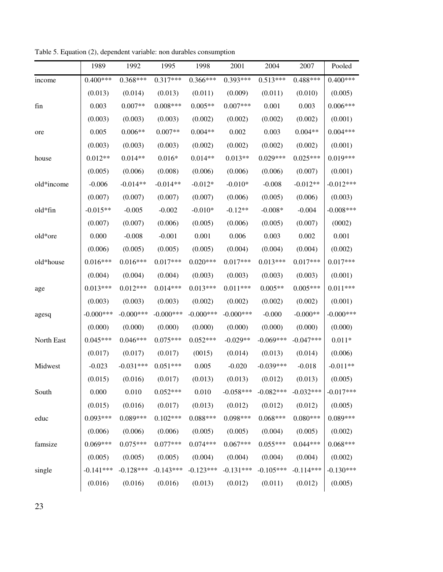|            | 1989        | 1992        | 1995         | 1998         | 2001        | 2004        | 2007        | Pooled       |
|------------|-------------|-------------|--------------|--------------|-------------|-------------|-------------|--------------|
| income     | $0.400***$  | $0.368***$  | $0.317***$   | $0.366***$   | 0.393***    | $0.513***$  | $0.488***$  | $0.400***$   |
|            | (0.013)     | (0.014)     | (0.013)      | (0.011)      | (0.009)     | (0.011)     | (0.010)     | (0.005)      |
| fin        | 0.003       | $0.007**$   | $0.008***$   | $0.005**$    | $0.007***$  | 0.001       | 0.003       | $0.006***$   |
|            | (0.003)     | (0.003)     | (0.003)      | (0.002)      | (0.002)     | (0.002)     | (0.002)     | (0.001)      |
| ore        | 0.005       | $0.006**$   | $0.007**$    | $0.004**$    | 0.002       | 0.003       | $0.004**$   | $0.004***$   |
|            | (0.003)     | (0.003)     | (0.003)      | (0.002)      | (0.002)     | (0.002)     | (0.002)     | (0.001)      |
| house      | $0.012**$   | $0.014**$   | $0.016*$     | $0.014**$    | $0.013**$   | $0.029***$  | $0.025***$  | $0.019***$   |
|            | (0.005)     | (0.006)     | (0.008)      | (0.006)      | (0.006)     | (0.006)     | (0.007)     | (0.001)      |
| old*income | $-0.006$    | $-0.014**$  | $-0.014**$   | $-0.012*$    | $-0.010*$   | $-0.008$    | $-0.012**$  | $-0.012***$  |
|            | (0.007)     | (0.007)     | (0.007)      | (0.007)      | (0.006)     | (0.005)     | (0.006)     | (0.003)      |
| old*fin    | $-0.015**$  | $-0.005$    | $-0.002$     | $-0.010*$    | $-0.12**$   | $-0.008*$   | $-0.004$    | $-0.008***$  |
|            | (0.007)     | (0.007)     | (0.006)      | (0.005)      | (0.006)     | (0.005)     | (0.007)     | (0002)       |
| old*ore    | 0.000       | $-0.008$    | $-0.001$     | 0.001        | 0.006       | 0.003       | 0.002       | 0.001        |
|            | (0.006)     | (0.005)     | (0.005)      | (0.005)      | (0.004)     | (0.004)     | (0.004)     | (0.002)      |
| old*house  | $0.016***$  | $0.016***$  | $0.017***$   | $0.020***$   | $0.017***$  | $0.013***$  | $0.017***$  | $0.017***$   |
|            | (0.004)     | (0.004)     | (0.004)      | (0.003)      | (0.003)     | (0.003)     | (0.003)     | (0.001)      |
| age        | $0.013***$  | $0.012***$  | $0.014***$   | $0.013***$   | $0.011***$  | $0.005**$   | $0.005***$  | $0.011***$   |
|            | (0.003)     | (0.003)     | (0.003)      | (0.002)      | (0.002)     | (0.002)     | (0.002)     | (0.001)      |
| agesq      | $-0.000***$ | $-0.000***$ | $-0.000$ *** | $-0.000$ *** | $-0.000***$ | $-0.000$    | $-0.000**$  | $-0.000$ *** |
|            | (0.000)     | (0.000)     | (0.000)      | (0.000)      | (0.000)     | (0.000)     | (0.000)     | (0.000)      |
| North East | $0.045***$  | $0.046***$  | $0.075***$   | $0.052***$   | $-0.029**$  | $-0.069***$ | $-0.047***$ | $0.011*$     |
|            | (0.017)     | (0.017)     | (0.017)      | (0015)       | (0.014)     | (0.013)     | (0.014)     | (0.006)      |
| Midwest    | $-0.023$    | $-0.031***$ | $0.051***$   | 0.005        | $-0.020$    | $-0.039***$ | $-0.018$    | $-0.011**$   |
|            | (0.015)     | (0.016)     | (0.017)      | (0.013)      | (0.013)     | (0.012)     | (0.013)     | (0.005)      |
| South      | 0.000       | 0.010       | $0.052***$   | 0.010        | $-0.058***$ | $-0.082***$ | $-0.032***$ | $-0.017***$  |
|            | (0.015)     | (0.016)     | (0.017)      | (0.013)      | (0.012)     | (0.012)     | (0.012)     | (0.005)      |
| educ       | $0.093***$  | $0.089***$  | $0.102***$   | $0.088***$   | $0.098***$  | $0.068***$  | $0.080***$  | $0.089***$   |
|            | (0.006)     | (0.006)     | (0.006)      | (0.005)      | (0.005)     | (0.004)     | (0.005)     | (0.002)      |
| famsize    | $0.069***$  | $0.075***$  | $0.077***$   | $0.074***$   | $0.067***$  | $0.055***$  | $0.044***$  | $0.068***$   |
|            | (0.005)     | (0.005)     | (0.005)      | (0.004)      | (0.004)     | (0.004)     | (0.004)     | (0.002)      |
| single     | $-0.141***$ | $-0.128***$ | $-0.143***$  | $-0.123***$  | $-0.131***$ | $-0.105***$ | $-0.114***$ | $-0.130***$  |
|            | (0.016)     | (0.016)     | (0.016)      | (0.013)      | (0.012)     | (0.011)     | (0.012)     | (0.005)      |

Table 5. Equation (2), dependent variable: non durables consumption

23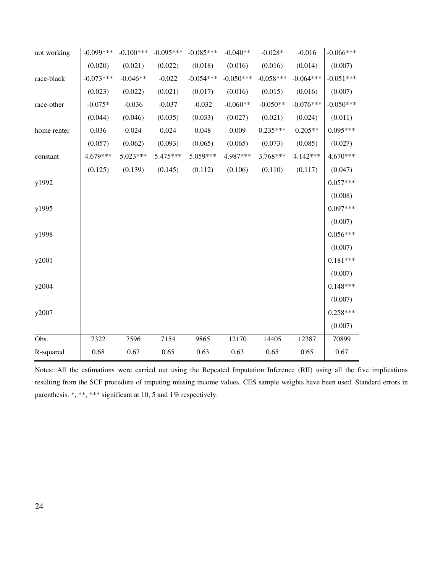| not working | $-0.099***$ | $-0.100***$ | $-0.095***$ | $-0.085***$ | $-0.040**$  | $-0.028*$   | $-0.016$    | $-0.066***$ |
|-------------|-------------|-------------|-------------|-------------|-------------|-------------|-------------|-------------|
|             | (0.020)     | (0.021)     | (0.022)     | (0.018)     | (0.016)     | (0.016)     | (0.014)     | (0.007)     |
| race-black  | $-0.073***$ | $-0.046**$  | $-0.022$    | $-0.054***$ | $-0.050***$ | $-0.058***$ | $-0.064***$ | $-0.051***$ |
|             | (0.023)     | (0.022)     | (0.021)     | (0.017)     | (0.016)     | (0.015)     | (0.016)     | (0.007)     |
| race-other  | $-0.075*$   | $-0.036$    | $-0.037$    | $-0.032$    | $-0.060**$  | $-0.050**$  | $-0.076***$ | $-0.050***$ |
|             | (0.044)     | (0.046)     | (0.035)     | (0.033)     | (0.027)     | (0.021)     | (0.024)     | (0.011)     |
| home renter | 0.036       | 0.024       | 0.024       | 0.048       | 0.009       | $0.235***$  | $0.205**$   | $0.095***$  |
|             | (0.057)     | (0.062)     | (0.093)     | (0.065)     | (0.065)     | (0.073)     | (0.085)     | (0.027)     |
| constant    | 4.679***    | 5.023***    | 5.475***    | 5.059***    | 4.987***    | 3.768***    | 4.142***    | 4.670***    |
|             | (0.125)     | (0.139)     | (0.145)     | (0.112)     | (0.106)     | (0.110)     | (0.117)     | (0.047)     |
| y1992       |             |             |             |             |             |             |             | $0.057***$  |
|             |             |             |             |             |             |             |             | (0.008)     |
| y1995       |             |             |             |             |             |             |             | $0.097***$  |
|             |             |             |             |             |             |             |             | (0.007)     |
| y1998       |             |             |             |             |             |             |             | $0.056***$  |
|             |             |             |             |             |             |             |             | (0.007)     |
| y2001       |             |             |             |             |             |             |             | $0.181***$  |
|             |             |             |             |             |             |             |             | (0.007)     |
| y2004       |             |             |             |             |             |             |             | $0.148***$  |
|             |             |             |             |             |             |             |             | (0.007)     |
| y2007       |             |             |             |             |             |             |             | $0.258***$  |
|             |             |             |             |             |             |             |             | (0.007)     |
| Obs.        | 7322        | 7596        | 7154        | 9865        | 12170       | 14405       | 12387       | 70899       |
| R-squared   | 0.68        | 0.67        | 0.65        | 0.63        | 0.63        | 0.65        | 0.65        | 0.67        |

Notes: All the estimations were carried out using the Repeated Imputation Inference (RII) using all the five implications resulting from the SCF procedure of imputing missing income values. CES sample weights have been used. Standard errors in parenthesis. \*, \*\*, \*\*\* significant at 10, 5 and 1% respectively.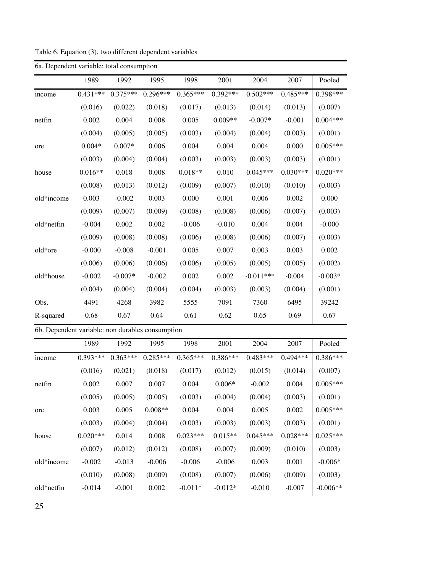| 6a. Dependent variable: total consumption        |            |            |            |            |            |             |            |            |
|--------------------------------------------------|------------|------------|------------|------------|------------|-------------|------------|------------|
|                                                  | 1989       | 1992       | 1995       | 1998       | 2001       | 2004        | 2007       | Pooled     |
| income                                           | $0.431***$ | $0.375***$ | $0.296***$ | $0.365***$ | $0.392***$ | $0.502***$  | $0.485***$ | $0.398***$ |
|                                                  | (0.016)    | (0.022)    | (0.018)    | (0.017)    | (0.013)    | (0.014)     | (0.013)    | (0.007)    |
| netfin                                           | 0.002      | 0.004      | 0.008      | 0.005      | $0.009**$  | $-0.007*$   | $-0.001$   | $0.004***$ |
|                                                  | (0.004)    | (0.005)    | (0.005)    | (0.003)    | (0.004)    | (0.004)     | (0.003)    | (0.001)    |
| ore                                              | $0.004*$   | $0.007*$   | 0.006      | 0.004      | 0.004      | 0.004       | 0.000      | $0.005***$ |
|                                                  | (0.003)    | (0.004)    | (0.004)    | (0.003)    | (0.003)    | (0.003)     | (0.003)    | (0.001)    |
| house                                            | $0.016**$  | 0.018      | 0.008      | $0.018**$  | 0.010      | $0.045***$  | $0.030***$ | $0.020***$ |
|                                                  | (0.008)    | (0.013)    | (0.012)    | (0.009)    | (0.007)    | (0.010)     | (0.010)    | (0.003)    |
| old*income                                       | 0.003      | $-0.002$   | 0.003      | 0.000      | 0.001      | 0.006       | 0.002      | 0.000      |
|                                                  | (0.009)    | (0.007)    | (0.009)    | (0.008)    | (0.008)    | (0.006)     | (0.007)    | (0.003)    |
| old*netfin                                       | $-0.004$   | 0.002      | 0.002      | $-0.006$   | $-0.010$   | 0.004       | 0.004      | $-0.000$   |
|                                                  | (0.009)    | (0.008)    | (0.008)    | (0.006)    | (0.008)    | (0.006)     | (0.007)    | (0.003)    |
| old*ore                                          | $-0.000$   | $-0.008$   | $-0.001$   | 0.005      | 0.007      | 0.003       | 0.003      | 0.002      |
|                                                  | (0.006)    | (0.006)    | (0.006)    | (0.006)    | (0.005)    | (0.005)     | (0.005)    | (0.002)    |
| old*house                                        | $-0.002$   | $-0.007*$  | $-0.002$   | 0.002      | 0.002      | $-0.011***$ | $-0.004$   | $-0.003*$  |
|                                                  | (0.004)    | (0.004)    | (0.004)    | (0.004)    | (0.003)    | (0.003)     | (0.004)    | (0.001)    |
| Obs.                                             | 4491       | 4268       | 3982       | 5555       | 7091       | 7360        | 6495       | 39242      |
| R-squared                                        | 0.68       | 0.67       | 0.64       | 0.61       | 0.62       | 0.65        | 0.69       | 0.67       |
| 6b. Dependent variable: non durables consumption |            |            |            |            |            |             |            |            |
|                                                  | 1989       | 1992       | 1995       | 1998       | 2001       | 2004        | 2007       | Pooled     |
| income                                           | $0.393***$ | $0.363***$ | $0.285***$ | $0.365***$ | $0.386***$ | $0.483***$  | $0.494***$ | $0.386***$ |
|                                                  | (0.016)    | (0.021)    | (0.018)    | (0.017)    | (0.012)    | (0.015)     | (0.014)    | (0.007)    |

netfin | 0.002 0.007 0.007 0.004 0.006\* -0.002 0.004 | 0.005\*\*\*

ore  $\begin{array}{|c|c|c|c|c|c|c|c|c|} \hline 0.003 & 0.005 & 0.008** & 0.004 & 0.004 & 0.005 & 0.002 & 0.005*** \hline \end{array}$ 

house  $(0.020***\quad 0.014\quad 0.008\quad 0.023***\quad 0.015***\quad 0.045***\quad 0.028***\quad 0.025***$ 

 $(0.005)$   $(0.005)$   $(0.005)$   $(0.003)$   $(0.004)$   $(0.004)$   $(0.003)$   $(0.001)$ 

 $(0.003)$   $(0.004)$   $(0.004)$   $(0.003)$   $(0.003)$   $(0.003)$   $(0.003)$   $(0.001)$ 

Table 6. Equation (3), two different dependent variables

 $(0.007)$   $(0.012)$   $(0.012)$   $(0.008)$   $(0.007)$   $(0.009)$   $(0.010)$   $(0.003)$ old\*income  $-0.002$   $-0.013$   $-0.006$   $-0.006$   $-0.006$   $0.003$   $0.001$   $-0.006$ \*  $(0.010)$   $(0.008)$   $(0.009)$   $(0.008)$   $(0.007)$   $(0.006)$   $(0.009)$   $(0.003)$ old\*netfin | -0.014 -0.001 0.002 -0.011\* -0.012\* -0.010 -0.007 | -0.006\*\*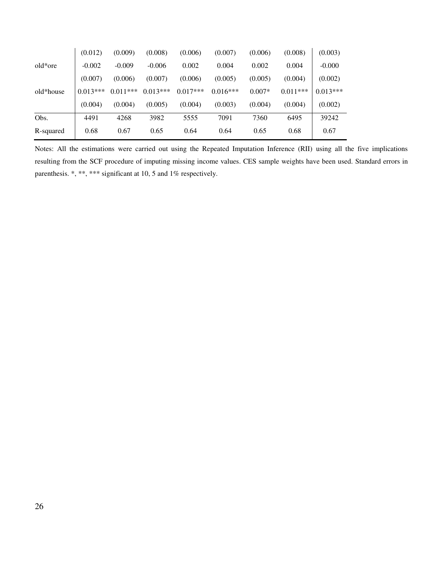|           | (0.012)    | (0.009)    | (0.008)    | (0.006)    | (0.007)    | (0.006)  | (0.008)    | (0.003)    |
|-----------|------------|------------|------------|------------|------------|----------|------------|------------|
| old*ore   | $-0.002$   | $-0.009$   | $-0.006$   | 0.002      | 0.004      | 0.002    | 0.004      | $-0.000$   |
|           | (0.007)    | (0.006)    | (0.007)    | (0.006)    | (0.005)    | (0.005)  | (0.004)    | (0.002)    |
| old*house | $0.013***$ | $0.011***$ | $0.013***$ | $0.017***$ | $0.016***$ | $0.007*$ | $0.011***$ | $0.013***$ |
|           | (0.004)    | (0.004)    | (0.005)    | (0.004)    | (0.003)    | (0.004)  | (0.004)    | (0.002)    |
| Obs.      | 4491       | 4268       | 3982       | 5555       | 7091       | 7360     | 6495       | 39242      |
| R-squared | 0.68       | 0.67       | 0.65       | 0.64       | 0.64       | 0.65     | 0.68       | 0.67       |

Notes: All the estimations were carried out using the Repeated Imputation Inference (RII) using all the five implications resulting from the SCF procedure of imputing missing income values. CES sample weights have been used. Standard errors in parenthesis. \*, \*\*, \*\*\* significant at 10, 5 and 1% respectively.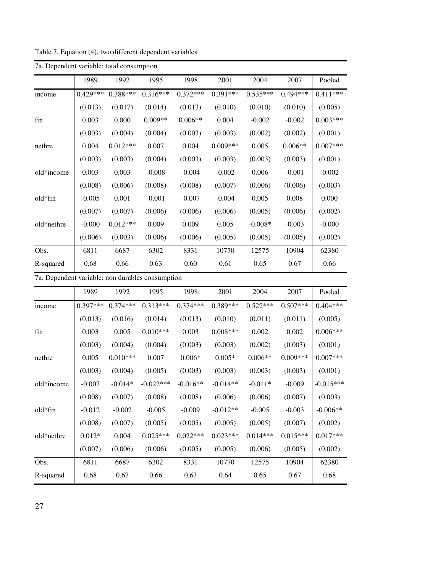| 7a. Dependent variable: total consumption |            |            |            |            |            |            |            |            |  |  |
|-------------------------------------------|------------|------------|------------|------------|------------|------------|------------|------------|--|--|
|                                           | 1989       | 1992       | 1995       | 1998       | 2001       | 2004       | 2007       | Pooled     |  |  |
| income                                    | $0.429***$ | $0.388***$ | $0.316***$ | $0.372***$ | $0.391***$ | $0.535***$ | $0.494***$ | $0.411***$ |  |  |
|                                           | (0.013)    | (0.017)    | (0.014)    | (0.013)    | (0.010)    | (0.010)    | (0.010)    | (0.005)    |  |  |
| fin                                       | 0.003      | 0.000      | $0.009**$  | $0.006**$  | 0.004      | $-0.002$   | $-0.002$   | $0.003***$ |  |  |
|                                           | (0.003)    | (0.004)    | (0.004)    | (0.003)    | (0.003)    | (0.002)    | (0.002)    | (0.001)    |  |  |
| nethre                                    | 0.004      | $0.012***$ | 0.007      | 0.004      | $0.009***$ | 0.005      | $0.006**$  | $0.007***$ |  |  |
|                                           | (0.003)    | (0.003)    | (0.004)    | (0.003)    | (0.003)    | (0.003)    | (0.003)    | (0.001)    |  |  |
| old*income                                | 0.003      | 0.003      | $-0.008$   | $-0.004$   | $-0.002$   | 0.006      | $-0.001$   | $-0.002$   |  |  |
|                                           | (0.008)    | (0.006)    | (0.008)    | (0.008)    | (0.007)    | (0.006)    | (0.006)    | (0.003)    |  |  |
| old*fin                                   | $-0.005$   | 0.001      | $-0.001$   | $-0.007$   | $-0.004$   | 0.005      | 0.008      | 0.000      |  |  |
|                                           | (0.007)    | (0.007)    | (0.006)    | (0.006)    | (0.006)    | (0.005)    | (0.006)    | (0.002)    |  |  |
| old*nethre                                | $-0.000$   | $0.012***$ | 0.009      | 0.009      | 0.005      | $-0.008*$  | $-0.003$   | $-0.000$   |  |  |
|                                           | (0.006)    | (0.003)    | (0.006)    | (0.006)    | (0.005)    | (0.005)    | (0.005)    | (0.002)    |  |  |
| Obs.                                      | 6811       | 6687       | 6302       | 8331       | 10770      | 12575      | 10904      | 62380      |  |  |
| R-squared                                 | 0.68       | 0.66       | 0.63       | 0.60       | 0.61       | 0.65       | 0.67       | 0.66       |  |  |

Table 7. Equation (4), two different dependent variables

7a. Dependent variable: non durables consumption

|            | 1989       | 1992       | 1995        | 1998       | 2001       | 2004       | 2007       | Pooled      |
|------------|------------|------------|-------------|------------|------------|------------|------------|-------------|
| income     | $0.397***$ | $0.374***$ | $0.313***$  | $0.374***$ | $0.389***$ | $0.522***$ | $0.507***$ | $0.404***$  |
|            | (0.013)    | (0.016)    | (0.014)     | (0.013)    | (0.010)    | (0.011)    | (0.011)    | (0.005)     |
| fin        | 0.003      | 0.005      | $0.010***$  | 0.003      | $0.008***$ | 0.002      | 0.002      | $0.006***$  |
|            | (0.003)    | (0.004)    | (0.004)     | (0.003)    | (0.003)    | (0.002)    | (0.003)    | (0.001)     |
| nethre     | 0.005      | $0.010***$ | 0.007       | $0.006*$   | $0.005*$   | $0.006**$  | $0.009***$ | $0.007***$  |
|            | (0.003)    | (0.004)    | (0.005)     | (0.003)    | (0.003)    | (0.003)    | (0.003)    | (0.001)     |
| old*income | $-0.007$   | $-0.014*$  | $-0.022***$ | $-0.016**$ | $-0.014**$ | $-0.011*$  | $-0.009$   | $-0.015***$ |
|            | (0.008)    | (0.007)    | (0.008)     | (0.008)    | (0.006)    | (0.006)    | (0.007)    | (0.003)     |
| old*fin    | $-0.012$   | $-0.002$   | $-0.005$    | $-0.009$   | $-0.012**$ | $-0.005$   | $-0.003$   | $-0.006**$  |
|            | (0.008)    | (0.007)    | (0.005)     | (0.005)    | (0.005)    | (0.005)    | (0.007)    | (0.002)     |
| old*nethre | $0.012*$   | 0.004      | $0.025***$  | $0.022***$ | $0.023***$ | $0.014***$ | $0.015***$ | $0.017***$  |
|            | (0.007)    | (0.006)    | (0.006)     | (0.005)    | (0.005)    | (0.006)    | (0.005)    | (0.002)     |
| Obs.       | 6811       | 6687       | 6302        | 8331       | 10770      | 12575      | 10904      | 62380       |
| R-squared  | 0.68       | 0.67       | 0.66        | 0.63       | 0.64       | 0.65       | 0.67       | 0.68        |